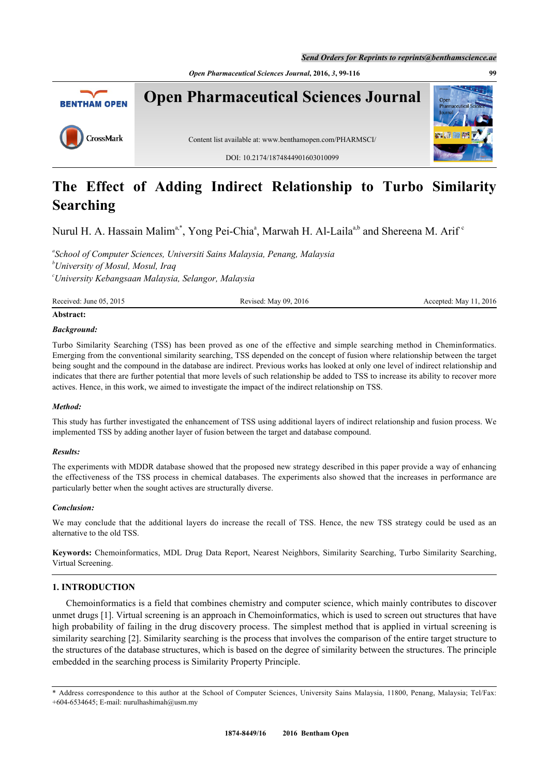*Open Pharmaceutical Sciences Journal***, 2016,** *3***, 99-116 99**



# **The Effect of Adding Indirect Relationship to Turbo Similarity Searching**

Nurul H. A. Hassain Malim<sup>[a,](#page-0-0)[\\*](#page-0-1)</sup>, Yong Pei-Chi[a](#page-0-0)<sup>a</sup>, Marwah H. Al-Laila<sup>a[,b](#page-0-2)</sup> and Shereena M. Arif <sup>[c](#page-0-3)</sup>

<span id="page-0-3"></span><span id="page-0-2"></span><span id="page-0-0"></span>*a School of Computer Sciences, Universiti Sains Malaysia, Penang, Malaysia <sup>b</sup>University of Mosul, Mosul, Iraq <sup>c</sup>University Kebangsaan Malaysia, Selangor, Malaysia*

Received: June 05, 2015 Revised: May 09, 2016 Revised: May 09, 2016 Accepted: May 11, 2016

# **Abstract:**

# *Background:*

Turbo Similarity Searching (TSS) has been proved as one of the effective and simple searching method in Cheminformatics. Emerging from the conventional similarity searching, TSS depended on the concept of fusion where relationship between the target being sought and the compound in the database are indirect. Previous works has looked at only one level of indirect relationship and indicates that there are further potential that more levels of such relationship be added to TSS to increase its ability to recover more actives. Hence, in this work, we aimed to investigate the impact of the indirect relationship on TSS.

### *Method:*

This study has further investigated the enhancement of TSS using additional layers of indirect relationship and fusion process. We implemented TSS by adding another layer of fusion between the target and database compound.

### *Results:*

The experiments with MDDR database showed that the proposed new strategy described in this paper provide a way of enhancing the effectiveness of the TSS process in chemical databases. The experiments also showed that the increases in performance are particularly better when the sought actives are structurally diverse.

### *Conclusion:*

We may conclude that the additional layers do increase the recall of TSS. Hence, the new TSS strategy could be used as an alternative to the old TSS.

**Keywords:** Chemoinformatics, MDL Drug Data Report, Nearest Neighbors, Similarity Searching, Turbo Similarity Searching, Virtual Screening.

# **1. INTRODUCTION**

Chemoinformatics is a field that combines chemistry and computer science, which mainly contributes to discover unmet drugs [[1\]](#page-16-0). Virtual screening is an approach in Chemoinformatics, which is used to screen out structures that have high probability of failing in the drug discovery process. The simplest method that is applied in virtual screening is similarity searching [\[2](#page-16-1)]. Similarity searching is the process that involves the comparison of the entire target structure to the structures of the database structures, which is based on the degree of similarity between the structures. The principle embedded in the searching process is Similarity Property Principle.

<span id="page-0-1"></span><sup>\*</sup> Address correspondence to this author at the School of Computer Sciences, University Sains Malaysia, 11800, Penang, Malaysia; Tel/Fax: +604-6534645; E-mail: [nurulhashimah@usm.my](mailto:nurulhashimah@usm.my)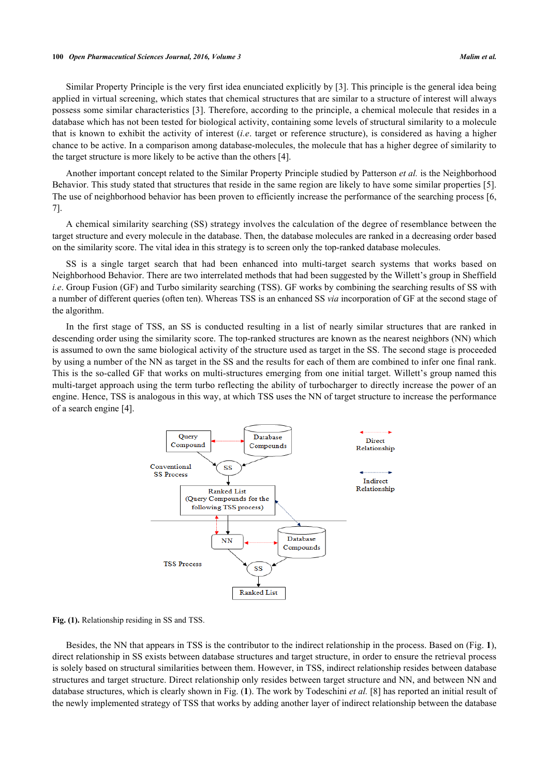Similar Property Principle is the very first idea enunciated explicitly by [\[3](#page-16-2)]. This principle is the general idea being applied in virtual screening, which states that chemical structures that are similar to a structure of interest will always possess some similar characteristics [[3](#page-16-2)]. Therefore, according to the principle, a chemical molecule that resides in a database which has not been tested for biological activity, containing some levels of structural similarity to a molecule that is known to exhibit the activity of interest (*i.e*. target or reference structure), is considered as having a higher chance to be active. In a comparison among database-molecules, the molecule that has a higher degree of similarity to the target structure is more likely to be active than the others [[4\]](#page-16-3).

Another important concept related to the Similar Property Principle studied by Patterson *et al.* is the Neighborhood Behavior. This study stated that structures that reside in the same region are likely to have some similar properties [[5\]](#page-16-4). The use of neighborhood behavior has been proven to efficiently increase the performance of the searching process [[6](#page-16-5), [7\]](#page-16-6).

A chemical similarity searching (SS) strategy involves the calculation of the degree of resemblance between the target structure and every molecule in the database. Then, the database molecules are ranked in a decreasing order based on the similarity score. The vital idea in this strategy is to screen only the top-ranked database molecules.

SS is a single target search that had been enhanced into multi-target search systems that works based on Neighborhood Behavior. There are two interrelated methods that had been suggested by the Willett's group in Sheffield *i.e*. Group Fusion (GF) and Turbo similarity searching (TSS). GF works by combining the searching results of SS with a number of different queries (often ten). Whereas TSS is an enhanced SS *via* incorporation of GF at the second stage of the algorithm.

<span id="page-1-0"></span>In the first stage of TSS, an SS is conducted resulting in a list of nearly similar structures that are ranked in descending order using the similarity score. The top-ranked structures are known as the nearest neighbors (NN) which is assumed to own the same biological activity of the structure used as target in the SS. The second stage is proceeded by using a number of the NN as target in the SS and the results for each of them are combined to infer one final rank. This is the so-called GF that works on multi-structures emerging from one initial target. Willett's group named this multi-target approach using the term turbo reflecting the ability of turbocharger to directly increase the power of an engine. Hence, TSS is analogous in this way, at which TSS uses the NN of target structure to increase the performance of a search engine [[4\]](#page-16-3).



**Fig. (1).** Relationship residing in SS and TSS.

Besides, the NN that appears in TSS is the contributor to the indirect relationship in the process. Based on (Fig. **[1](#page-1-0)**), direct relationship in SS exists between database structures and target structure, in order to ensure the retrieval process is solely based on structural similarities between them. However, in TSS, indirect relationship resides between database structures and target structure. Direct relationship only resides between target structure and NN, and between NN and database structures, which is clearly shown in Fig. (**[1](#page-1-0)**). The work by Todeschini *et al.* [[8\]](#page-16-7) has reported an initial result of the newly implemented strategy of TSS that works by adding another layer of indirect relationship between the database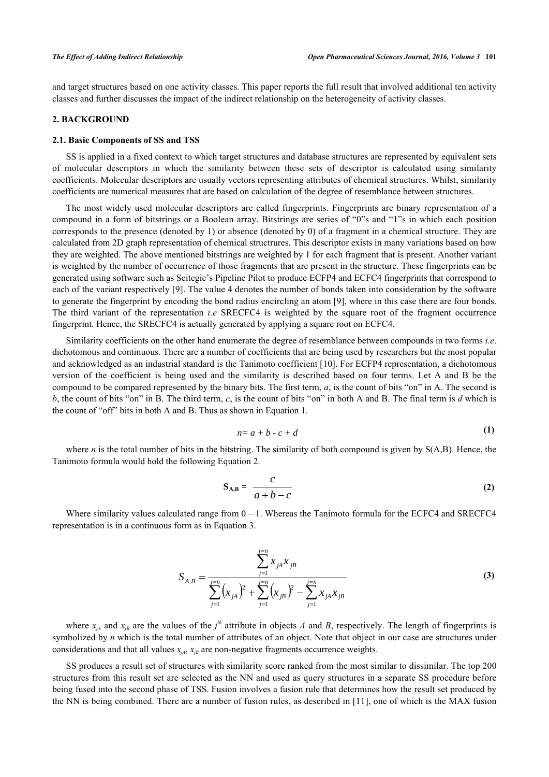and target structures based on one activity classes. This paper reports the full result that involved additional ten activity classes and further discusses the impact of the indirect relationship on the heterogeneity of activity classes.

# **2. BACKGROUND**

# **2.1. Basic Components of SS and TSS**

SS is applied in a fixed context to which target structures and database structures are represented by equivalent sets of molecular descriptors in which the similarity between these sets of descriptor is calculated using similarity coefficients. Molecular descriptors are usually vectors representing attributes of chemical structures. Whilst, similarity coefficients are numerical measures that are based on calculation of the degree of resemblance between structures.

The most widely used molecular descriptors are called fingerprints. Fingerprints are binary representation of a compound in a form of bitstrings or a Boolean array. Bitstrings are series of "0"s and "1"s in which each position corresponds to the presence (denoted by 1) or absence (denoted by 0) of a fragment in a chemical structure. They are calculated from 2D graph representation of chemical structrures. This descriptor exists in many variations based on how they are weighted. The above mentioned bitstrings are weighted by 1 for each fragment that is present. Another variant is weighted by the number of occurrence of those fragments that are present in the structure. These fingerprints can be generated using software such as Scitegic's Pipeline Pilot to produce ECFP4 and ECFC4 fingerprints that correspond to each of the variant respectively [\[9](#page-16-8)]. The value 4 denotes the number of bonds taken into consideration by the software to generate the fingerprint by encoding the bond radius encircling an atom [\[9](#page-16-8)], where in this case there are four bonds. The third variant of the representation *i.e* SRECFC4 is weighted by the square root of the fragment occurrence fingerprint. Hence, the SRECFC4 is actually generated by applying a square root on ECFC4.

Similarity coefficients on the other hand enumerate the degree of resemblance between compounds in two forms *i.e*. dichotomous and continuous. There are a number of coefficients that are being used by researchers but the most popular and acknowledged as an industrial standard is the Tanimoto coefficient [\[10](#page-17-0)]. For ECFP4 representation, a dichotomous version of the coefficient is being used and the similarity is described based on four terms. Let A and B be the compound to be compared represented by the binary bits. The first term, *a*, is the count of bits "on" in A. The second is *b*, the count of bits "on" in B. The third term, *c*, is the count of bits "on" in both A and B. The final term is *d* which is the count of "off" bits in both A and B. Thus as shown in Equation 1.

$$
n = a + b \cdot c + d \tag{1}
$$

where *n* is the total number of bits in the bitstring. The similarity of both compound is given by  $S(A,B)$ . Hence, the Tanimoto formula would hold the following Equation 2.

$$
\mathbf{S}_{\mathbf{A},\mathbf{B}} = \frac{c}{a+b-c} \tag{2}
$$

Where similarity values calculated range from  $0 - 1$ . Whereas the Tanimoto formula for the ECFC4 and SRECFC4 representation is in a continuous form as in Equation 3.

$$
S_{A,B} = \frac{\sum_{j=1}^{j=n} x_{jA} x_{jB}}{\sum_{j=1}^{j=n} (x_{jA})^2 + \sum_{j=1}^{j=n} (x_{jB})^2 - \sum_{j=1}^{j=n} x_{jA} x_{jB}}
$$
(3)

where  $x_{iA}$  and  $x_{iB}$  are the values of the  $j<sup>th</sup>$  attribute in objects *A* and *B*, respectively. The length of fingerprints is symbolized by *n* which is the total number of attributes of an object. Note that object in our case are structures under considerations and that all values  $x_{iA}$ ,  $x_{iB}$  are non-negative fragments occurrence weights.

SS produces a result set of structures with similarity score ranked from the most similar to dissimilar. The top 200 structures from this result set are selected as the NN and used as query structures in a separate SS procedure before being fused into the second phase of TSS. Fusion involves a fusion rule that determines how the result set produced by the NN is being combined. There are a number of fusion rules, as described in [[11](#page-17-1)], one of which is the MAX fusion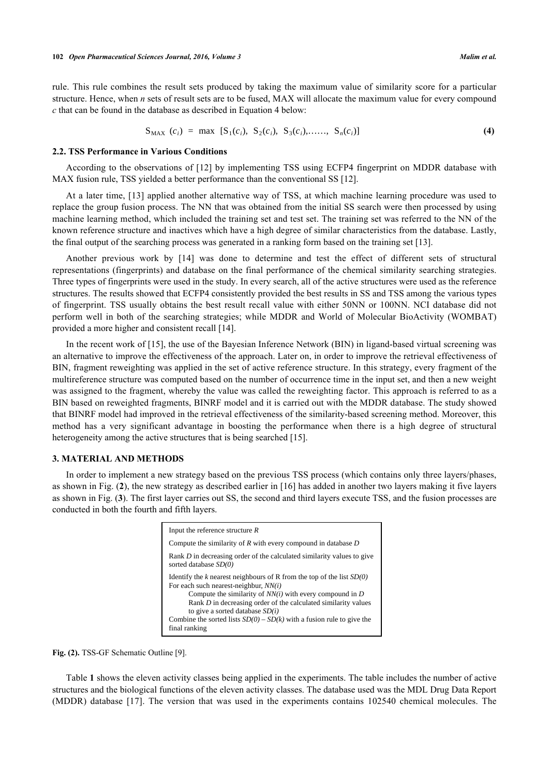rule. This rule combines the result sets produced by taking the maximum value of similarity score for a particular structure. Hence, when *n* sets of result sets are to be fused, MAX will allocate the maximum value for every compound *c* that can be found in the database as described in Equation 4 below:

$$
S_{MAX} (c_i) = max [S_1(c_i), S_2(c_i), S_3(c_i), \ldots, S_n(c_i)]
$$
\n(4)

# **2.2. TSS Performance in Various Conditions**

According to the observations of [\[12\]](#page-17-2) by implementing TSS using ECFP4 fingerprint on MDDR database with MAX fusion rule, TSS yielded a better performance than the conventional SS [\[12](#page-17-2)].

At a later time, [[13\]](#page-17-3) applied another alternative way of TSS, at which machine learning procedure was used to replace the group fusion process. The NN that was obtained from the initial SS search were then processed by using machine learning method, which included the training set and test set. The training set was referred to the NN of the known reference structure and inactives which have a high degree of similar characteristics from the database. Lastly, the final output of the searching process was generated in a ranking form based on the training set [[13\]](#page-17-3).

Another previous work by [\[14](#page-17-4)] was done to determine and test the effect of different sets of structural representations (fingerprints) and database on the final performance of the chemical similarity searching strategies. Three types of fingerprints were used in the study. In every search, all of the active structures were used as the reference structures. The results showed that ECFP4 consistently provided the best results in SS and TSS among the various types of fingerprint. TSS usually obtains the best result recall value with either 50NN or 100NN. NCI database did not perform well in both of the searching strategies; while MDDR and World of Molecular BioActivity (WOMBAT) provided a more higher and consistent recall [\[14](#page-17-4)].

In the recent work of [[15\]](#page-17-5), the use of the Bayesian Inference Network (BIN) in ligand-based virtual screening was an alternative to improve the effectiveness of the approach. Later on, in order to improve the retrieval effectiveness of BIN, fragment reweighting was applied in the set of active reference structure. In this strategy, every fragment of the multireference structure was computed based on the number of occurrence time in the input set, and then a new weight was assigned to the fragment, whereby the value was called the reweighting factor. This approach is referred to as a BIN based on reweighted fragments, BINRF model and it is carried out with the MDDR database. The study showed that BINRF model had improved in the retrieval effectiveness of the similarity-based screening method. Moreover, this method has a very significant advantage in boosting the performance when there is a high degree of structural heterogeneity among the active structures that is being searched [\[15](#page-17-5)].

# **3. MATERIAL AND METHODS**

<span id="page-3-0"></span>In order to implement a new strategy based on the previous TSS process (which contains only three layers/phases, as shown in Fig. (**[2](#page-3-0)**), the new strategy as described earlier in [\[16\]](#page-17-6) has added in another two layers making it five layers as shown in Fig. (**[3](#page-4-0)**). The first layer carries out SS, the second and third layers execute TSS, and the fusion processes are conducted in both the fourth and fifth layers.

| Input the reference structure $R$                                                                                                                                                                                                                                                                                                                                                   |
|-------------------------------------------------------------------------------------------------------------------------------------------------------------------------------------------------------------------------------------------------------------------------------------------------------------------------------------------------------------------------------------|
| Compute the similarity of $R$ with every compound in database $D$                                                                                                                                                                                                                                                                                                                   |
| Rank D in decreasing order of the calculated similarity values to give<br>sorted database $SD(0)$                                                                                                                                                                                                                                                                                   |
| Identify the k nearest neighbours of R from the top of the list $SD(0)$<br>For each such nearest-neighbur, $NN(i)$<br>Compute the similarity of $NN(i)$ with every compound in D<br>Rank D in decreasing order of the calculated similarity values<br>to give a sorted database $SD(i)$<br>Combine the sorted lists $SD(0) - SD(k)$ with a fusion rule to give the<br>final ranking |

Fig. (2). TSS-GF Schematic Outline [[9](#page-16-8)].

Table **[1](#page-4-1)** shows the eleven activity classes being applied in the experiments. The table includes the number of active structures and the biological functions of the eleven activity classes. The database used was the MDL Drug Data Report (MDDR) database[[17](#page-17-7)]. The version that was used in the experiments contains 102540 chemical molecules. The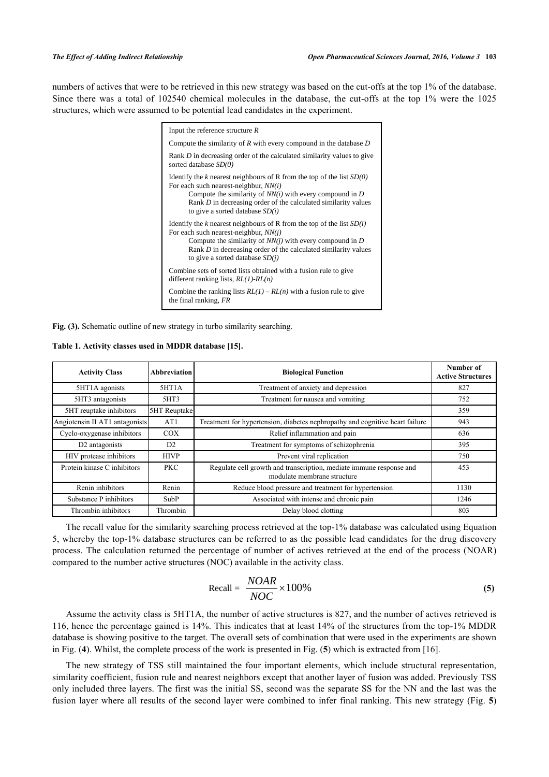<span id="page-4-0"></span>numbers of actives that were to be retrieved in this new strategy was based on the cut-offs at the top 1% of the database. Since there was a total of 102540 chemical molecules in the database, the cut-offs at the top 1% were the 1025 structures, which were assumed to be potential lead candidates in the experiment.

| Input the reference structure $R$                                                                                                                                                                                                                                                         |
|-------------------------------------------------------------------------------------------------------------------------------------------------------------------------------------------------------------------------------------------------------------------------------------------|
| Compute the similarity of R with every compound in the database $D$                                                                                                                                                                                                                       |
| Rank D in decreasing order of the calculated similarity values to give<br>sorted database $SD(0)$                                                                                                                                                                                         |
| Identify the k nearest neighbours of R from the top of the list $SD(0)$<br>For each such nearest-neighbur, $NN(i)$<br>Compute the similarity of $NN(i)$ with every compound in D<br>Rank $D$ in decreasing order of the calculated similarity values<br>to give a sorted database $SD(i)$ |
| Identify the k nearest neighbours of R from the top of the list $SD(i)$<br>For each such nearest-neighbur, $NN(i)$<br>Compute the similarity of $NN(j)$ with every compound in D<br>Rank D in decreasing order of the calculated similarity values<br>to give a sorted database $SD(i)$   |
| Combine sets of sorted lists obtained with a fusion rule to give<br>different ranking lists, $RL(1)$ - $RL(n)$                                                                                                                                                                            |
| Combine the ranking lists $RL(1) - RL(n)$ with a fusion rule to give<br>the final ranking, FR                                                                                                                                                                                             |

**Fig. (3).** Schematic outline of new strategy in turbo similarity searching.

<span id="page-4-1"></span>**Table 1. Activity classes used in MDDR database [\[15](#page-17-5)].**

| <b>Activity Class</b>          | Abbreviation | <b>Biological Function</b>                                                                         | Number of<br><b>Active Structures</b> |
|--------------------------------|--------------|----------------------------------------------------------------------------------------------------|---------------------------------------|
| 5HT1A agonists                 | 5HT1A        | Treatment of anxiety and depression                                                                | 827                                   |
| 5HT3 antagonists               | 5HT3         | Treatment for nausea and vomiting                                                                  | 752                                   |
| 5HT reuptake inhibitors        | 5HT Reuptake |                                                                                                    | 359                                   |
| Angiotensin II AT1 antagonists | AT1          | Treatment for hypertension, diabetes nephropathy and cognitive heart failure                       | 943                                   |
| Cyclo-oxygenase inhibitors     | COX          | Relief inflammation and pain                                                                       | 636                                   |
| D <sub>2</sub> antagonists     | D2           | Treatment for symptoms of schizophrenia                                                            | 395                                   |
| HIV protease inhibitors        | <b>HIVP</b>  | Prevent viral replication                                                                          | 750                                   |
| Protein kinase C inhibitors    | <b>PKC</b>   | Regulate cell growth and transcription, mediate immune response and<br>modulate membrane structure | 453                                   |
| Renin inhibitors               | Renin        | Reduce blood pressure and treatment for hypertension                                               | 1130                                  |
| Substance P inhibitors         | SubP         | Associated with intense and chronic pain                                                           | 1246                                  |
| Thrombin inhibitors            | Thrombin     | Delay blood clotting                                                                               | 803                                   |

The recall value for the similarity searching process retrieved at the top-1% database was calculated using Equation 5, whereby the top-1% database structures can be referred to as the possible lead candidates for the drug discovery process. The calculation returned the percentage of number of actives retrieved at the end of the process (NOAR) compared to the number active structures (NOC) available in the activity class.

$$
Recall = \frac{NOAR}{NOC} \times 100\%
$$
 (5)

Assume the activity class is 5HT1A, the number of active structures is 827, and the number of actives retrieved is 116, hence the percentage gained is 14%. This indicates that at least 14% of the structures from the top-1% MDDR database is showing positive to the target. The overall sets of combination that were used in the experiments are shown in Fig. (**[4](#page-5-0)**). Whilst, the complete process of the work is presented in Fig. (**[5](#page-5-1)**) which is extracted from [[16\]](#page-17-6).

The new strategy of TSS still maintained the four important elements, which include structural representation, similarity coefficient, fusion rule and nearest neighbors except that another layer of fusion was added. Previously TSS only included three layers. The first was the initial SS, second was the separate SS for the NN and the last was the fusion layer where all results of the second layer were combined to infer final ranking. This new strategy (Fig. **[5](#page-5-1)**)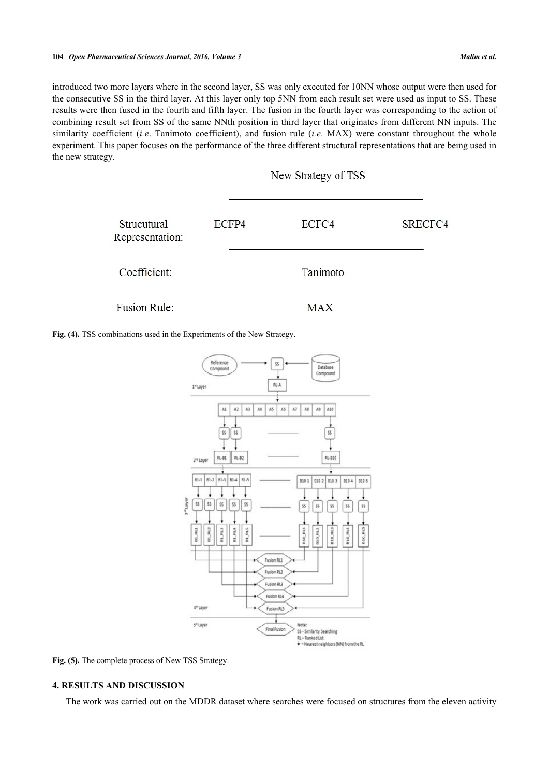<span id="page-5-0"></span>introduced two more layers where in the second layer, SS was only executed for 10NN whose output were then used for the consecutive SS in the third layer. At this layer only top 5NN from each result set were used as input to SS. These results were then fused in the fourth and fifth layer. The fusion in the fourth layer was corresponding to the action of combining result set from SS of the same NNth position in third layer that originates from different NN inputs. The similarity coefficient (*i.e*. Tanimoto coefficient), and fusion rule (*i.e*. MAX) were constant throughout the whole experiment. This paper focuses on the performance of the three different structural representations that are being used in the new strategy.



<span id="page-5-1"></span>



Fig. (5). The complete process of New TSS Strategy.

# **4. RESULTS AND DISCUSSION**

The work was carried out on the MDDR dataset where searches were focused on structures from the eleven activity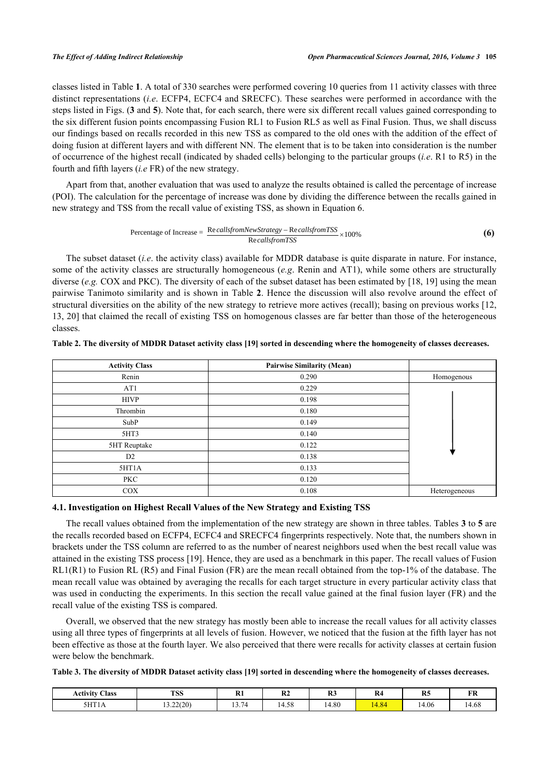classes listed in Table **[1](#page-4-1)**. A total of 330 searches were performed covering 10 queries from 11 activity classes with three distinct representations (*i.e*. ECFP4, ECFC4 and SRECFC). These searches were performed in accordance with the steps listed in Figs. (**[3](#page-4-0)** and **[5](#page-5-1)**). Note that, for each search, there were six different recall values gained corresponding to the six different fusion points encompassing Fusion RL1 to Fusion RL5 as well as Final Fusion. Thus, we shall discuss our findings based on recalls recorded in this new TSS as compared to the old ones with the addition of the effect of doing fusion at different layers and with different NN. The element that is to be taken into consideration is the number of occurrence of the highest recall (indicated by shaded cells) belonging to the particular groups (*i.e*. R1 to R5) in the fourth and fifth layers (*i.e* FR) of the new strategy.

Apart from that, another evaluation that was used to analyze the results obtained is called the percentage of increase (POI). The calculation for the percentage of increase was done by dividing the difference between the recalls gained in new strategy and TSS from the recall value of existing TSS, as shown in Equation 6.

Percentage of Increase = 
$$
\frac{\text{Recalls from NewStrategy} - \text{Recalls from TSS}}{\text{Recalls from TSS}} \times 100\%
$$
 (6)

The subset dataset (*i.e*. the activity class) available for MDDR database is quite disparate in nature. For instance, some of the activity classes are structurally homogeneous (*e.g*. Renin and AT1), while some others are structurally diverse (*e.g.* COX and PKC). The diversity of each of the subset dataset has been estimated by [[18](#page-17-8), [19](#page-17-9)] using the mean pairwise Tanimoto similarity and is shown in Table **[2](#page-6-0)**. Hence the discussion will also revolve around the effect of structural diversities on the ability of the new strategy to retrieve more actives (recall); basing on previous works [[12](#page-17-2), [13](#page-17-3)[, 20\]](#page-17-10) that claimed the recall of existing TSS on homogenous classes are far better than those of the heterogeneous classes.

| <b>Activity Class</b> | <b>Pairwise Similarity (Mean)</b> |               |
|-----------------------|-----------------------------------|---------------|
| Renin                 | 0.290                             | Homogenous    |
| AT1                   | 0.229                             |               |
| <b>HIVP</b>           | 0.198                             |               |
| Thrombin              | 0.180                             |               |
| SubP                  | 0.149                             |               |
| 5HT3                  | 0.140                             |               |
| 5HT Reuptake          | 0.122                             |               |
| D <sub>2</sub>        | 0.138                             |               |
| 5HT1A                 | 0.133                             |               |
| <b>PKC</b>            | 0.120                             |               |
| COX                   | 0.108                             | Heterogeneous |

<span id="page-6-0"></span>**Table 2. The diversity of MDDR Dataset activity class [19] sorted in descending where the homogeneity of classes decreases.**

# **4.1. Investigation on Highest Recall Values of the New Strategy and Existing TSS**

The recall values obtained from the implementation of the new strategy are shown in three tables. Tables **[3](#page-6-1)** to **5** are the recalls recorded based on ECFP4, ECFC4 and SRECFC4 fingerprints respectively. Note that, the numbers shown in brackets under the TSS column are referred to as the number of nearest neighbors used when the best recall value was attained in the existing TSS process [[19\]](#page-17-9). Hence, they are used as a benchmark in this paper. The recall values of Fusion  $RL1(R1)$  to Fusion RL (R5) and Final Fusion (FR) are the mean recall obtained from the top-1% of the database. The mean recall value was obtained by averaging the recalls for each target structure in every particular activity class that was used in conducting the experiments. In this section the recall value gained at the final fusion layer (FR) and the recall value of the existing TSS is compared.

Overall, we observed that the new strategy has mostly been able to increase the recall values for all activity classes using all three types of fingerprints at all levels of fusion. However, we noticed that the fusion at the fifth layer has not been effective as those at the fourth layer. We also perceived that there were recalls for activity classes at certain fusion were below the benchmark.

<span id="page-6-1"></span>

|  |  | Table 3. The diversity of MDDR Dataset activity class [19] sorted in descending where the homogeneity of classes decreases. |
|--|--|-----------------------------------------------------------------------------------------------------------------------------|
|  |  |                                                                                                                             |

| $\text{Class}$<br>.<br>Activity | <b>TROO</b><br>ເບລ  | Th s<br>n.                  | $\sim$<br>вv                     | --<br>--<br>--   | $\sim$<br>K4                                | D <sub>4</sub><br>--<br>__ | <b>Service</b> |
|---------------------------------|---------------------|-----------------------------|----------------------------------|------------------|---------------------------------------------|----------------------------|----------------|
| 5HT1<br>эпти                    | 13.22(20)<br>$   -$ | $\sim$<br>$\sim$<br>$1 - 1$ | $\epsilon$ <sup>o</sup><br>14.58 | $\circ$<br>14.80 | Д<br>$\boldsymbol{\pi}.\boldsymbol{\sigma}$ | 14.06                      | 14.08          |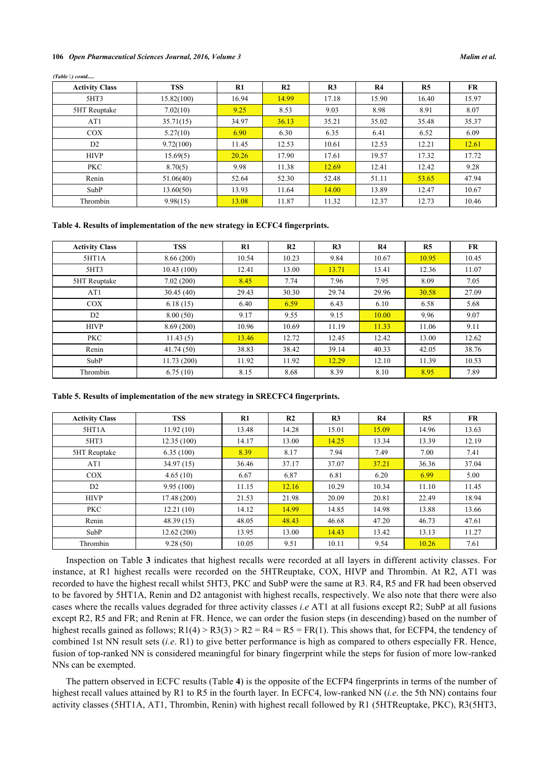| <b>Activity Class</b> | <b>TSS</b> | $\mathbf{R}1$ | R <sub>2</sub> | R <sub>3</sub> | R4    | R <sub>5</sub> | FR    |
|-----------------------|------------|---------------|----------------|----------------|-------|----------------|-------|
| 5HT3                  | 15.82(100) | 16.94         | 14.99          | 17.18          | 15.90 | 16.40          | 15.97 |
| 5HT Reuptake          | 7.02(10)   | 9.25          | 8.53           | 9.03           | 8.98  | 8.91           | 8.07  |
| AT1                   | 35.71(15)  | 34.97         | 36.13          | 35.21          | 35.02 | 35.48          | 35.37 |
| COX                   | 5.27(10)   | 6.90          | 6.30           | 6.35           | 6.41  | 6.52           | 6.09  |
| D <sub>2</sub>        | 9.72(100)  | 11.45         | 12.53          | 10.61          | 12.53 | 12.21          | 12.61 |
| <b>HIVP</b>           | 15.69(5)   | 20.26         | 17.90          | 17.61          | 19.57 | 17.32          | 17.72 |
| <b>PKC</b>            | 8.70(5)    | 9.98          | 11.38          | 12.69          | 12.41 | 12.42          | 9.28  |
| Renin                 | 51.06(40)  | 52.64         | 52.30          | 52.48          | 51.11 | 53.65          | 47.94 |
| SubP                  | 13.60(50)  | 13.93         | 11.64          | 14.00          | 13.89 | 12.47          | 10.67 |
| Thrombin              | 9.98(15)   | 13.08         | 11.87          | 11.32          | 12.37 | 12.73          | 10.46 |

*(Table ) contd.....*

# <span id="page-7-0"></span>**Table 4. Results of implementation of the new strategy in ECFC4 fingerprints.**

| <b>Activity Class</b> | <b>TSS</b> | R1    | R <sub>2</sub> | R <sub>3</sub> | R <sub>4</sub> | R <sub>5</sub> | <b>FR</b> |
|-----------------------|------------|-------|----------------|----------------|----------------|----------------|-----------|
| 5HT1A                 | 8.66(200)  | 10.54 | 10.23          | 9.84           | 10.67          | 10.95          | 10.45     |
| 5HT3                  | 10.43(100) | 12.41 | 13.00          | 13.71          | 13.41          | 12.36          | 11.07     |
| 5HT Reuptake          | 7.02(200)  | 8.45  | 7.74           | 7.96           | 7.95           | 8.09           | 7.05      |
| AT1                   | 30.45(40)  | 29.43 | 30.30          | 29.74          | 29.96          | 30.58          | 27.09     |
| COX                   | 6.18(15)   | 6.40  | 6.59           | 6.43           | 6.10           | 6.58           | 5.68      |
| D2                    | 8.00(50)   | 9.17  | 9.55           | 9.15           | 10.00          | 9.96           | 9.07      |
| <b>HIVP</b>           | 8.69(200)  | 10.96 | 10.69          | 11.19          | 11.33          | 11.06          | 9.11      |
| <b>PKC</b>            | 11.43(5)   | 13.46 | 12.72          | 12.45          | 12.42          | 13.00          | 12.62     |
| Renin                 | 41.74(50)  | 38.83 | 38.42          | 39.14          | 40.33          | 42.05          | 38.76     |
| SubP                  | 11.73(200) | 11.92 | 11.92          | 12.29          | 12.10          | 11.39          | 10.53     |
| Thrombin              | 6.75(10)   | 8.15  | 8.68           | 8.39           | 8.10           | 8.95           | 7.89      |

### <span id="page-7-1"></span>**Table 5. Results of implementation of the new strategy in SRECFC4 fingerprints.**

| <b>Activity Class</b> | <b>TSS</b>  | R1    | R <sub>2</sub> | R <sub>3</sub> | R4    | R <sub>5</sub> | <b>FR</b> |
|-----------------------|-------------|-------|----------------|----------------|-------|----------------|-----------|
| 5HT1A                 | 11.92(10)   | 13.48 | 14.28          | 15.01          | 15.09 | 14.96          | 13.63     |
| 5HT3                  | 12.35(100)  | 14.17 | 13.00          | 14.25          | 13.34 | 13.39          | 12.19     |
| 5HT Reuptake          | 6.35(100)   | 8.39  | 8.17           | 7.94           | 7.49  | 7.00           | 7.41      |
| AT1                   | 34.97(15)   | 36.46 | 37.17          | 37.07          | 37.21 | 36.36          | 37.04     |
| COX                   | 4.65(10)    | 6.67  | 6.87           | 6.81           | 6.20  | 6.99           | 5.00      |
| D2                    | 9.95(100)   | 11.15 | 12.16          | 10.29          | 10.34 | 11.10          | 11.45     |
| <b>HIVP</b>           | 17.48 (200) | 21.53 | 21.98          | 20.09          | 20.81 | 22.49          | 18.94     |
| <b>PKC</b>            | 12.21(10)   | 14.12 | 14.99          | 14.85          | 14.98 | 13.88          | 13.66     |
| Renin                 | 48.39(15)   | 48.05 | 48.43          | 46.68          | 47.20 | 46.73          | 47.61     |
| SubP                  | 12.62(200)  | 13.95 | 13.00          | 14.43          | 13.42 | 13.13          | 11.27     |
| Thrombin              | 9.28(50)    | 10.05 | 9.51           | 10.11          | 9.54  | 10.26          | 7.61      |

Inspection on Table **[3](#page-6-1)** indicates that highest recalls were recorded at all layers in different activity classes. For instance, at R1 highest recalls were recorded on the 5HTReuptake, COX, HIVP and Thrombin. At R2, AT1 was recorded to have the highest recall whilst 5HT3, PKC and SubP were the same at R3. R4, R5 and FR had been observed to be favored by 5HT1A, Renin and D2 antagonist with highest recalls, respectively. We also note that there were also cases where the recalls values degraded for three activity classes *i.e* AT1 at all fusions except R2; SubP at all fusions except R2, R5 and FR; and Renin at FR. Hence, we can order the fusion steps (in descending) based on the number of highest recalls gained as follows;  $R1(4) > R3(3) > R2 = R4 = R5 = FR(1)$ . This shows that, for ECFP4, the tendency of combined 1st NN result sets (*i.e*. R1) to give better performance is high as compared to others especially FR. Hence, fusion of top-ranked NN is considered meaningful for binary fingerprint while the steps for fusion of more low-ranked NNs can be exempted.

The pattern observed in ECFC results (Table **[4](#page-7-0)**) is the opposite of the ECFP4 fingerprints in terms of the number of highest recall values attained by R1 to R5 in the fourth layer. In ECFC4, low-ranked NN (*i.e*. the 5th NN) contains four activity classes (5HT1A, AT1, Thrombin, Renin) with highest recall followed by R1 (5HTReuptake, PKC), R3(5HT3,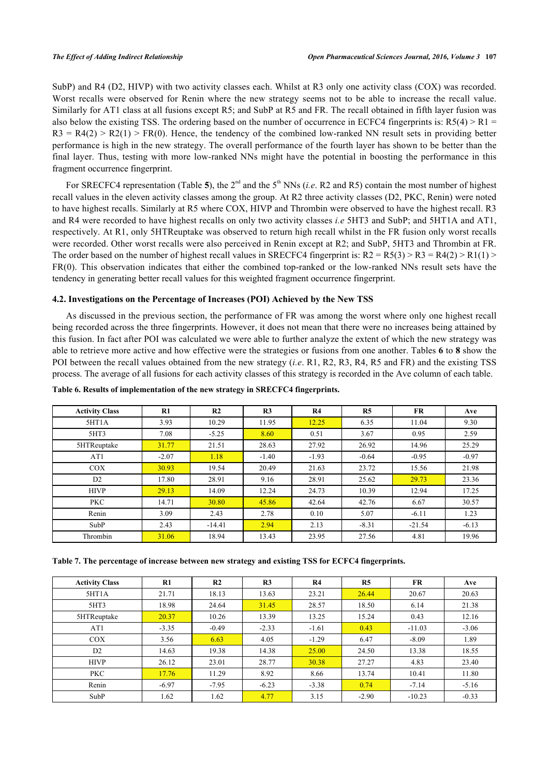SubP) and R4 (D2, HIVP) with two activity classes each. Whilst at R3 only one activity class (COX) was recorded. Worst recalls were observed for Renin where the new strategy seems not to be able to increase the recall value. Similarly for AT1 class at all fusions except R5; and SubP at R5 and FR. The recall obtained in fifth layer fusion was also below the existing TSS. The ordering based on the number of occurrence in ECFC4 fingerprints is:  $R5(4) > R1$  =  $R3 = R4(2) > R2(1) > FR(0)$ . Hence, the tendency of the combined low-ranked NN result sets in providing better performance is high in the new strategy. The overall performance of the fourth layer has shown to be better than the final layer. Thus, testing with more low-ranked NNs might have the potential in boosting the performance in this fragment occurrence fingerprint.

For SRECFC4 representation (Table [5](#page-7-1)), the 2<sup>nd</sup> and the 5<sup>th</sup> NNs (*i.e.* R2 and R5) contain the most number of highest recall values in the eleven activity classes among the group. At R2 three activity classes (D2, PKC, Renin) were noted to have highest recalls. Similarly at R5 where COX, HIVP and Thrombin were observed to have the highest recall. R3 and R4 were recorded to have highest recalls on only two activity classes *i.e* 5HT3 and SubP; and 5HT1A and AT1, respectively. At R1, only 5HTReuptake was observed to return high recall whilst in the FR fusion only worst recalls were recorded. Other worst recalls were also perceived in Renin except at R2; and SubP, 5HT3 and Thrombin at FR. The order based on the number of highest recall values in SRECFC4 fingerprint is:  $R2 = R5(3) > R3 = R4(2) > R1(1) >$ FR(0). This observation indicates that either the combined top-ranked or the low-ranked NNs result sets have the tendency in generating better recall values for this weighted fragment occurrence fingerprint.

# **4.2. Investigations on the Percentage of Increases (POI) Achieved by the New TSS**

As discussed in the previous section, the performance of FR was among the worst where only one highest recall being recorded across the three fingerprints. However, it does not mean that there were no increases being attained by this fusion. In fact after POI was calculated we were able to further analyze the extent of which the new strategy was able to retrieve more active and how effective were the strategies or fusions from one another. Tables **[6](#page-8-0)** to **[8](#page-9-0)** show the POI between the recall values obtained from the new strategy (*i.e*. R1, R2, R3, R4, R5 and FR) and the existing TSS process. The average of all fusions for each activity classes of this strategy is recorded in the Ave column of each table.

| <b>Activity Class</b> | R1      | R <sub>2</sub> | R <sub>3</sub> | R4      | R <sub>5</sub> | FR       | Ave     |
|-----------------------|---------|----------------|----------------|---------|----------------|----------|---------|
| 5HT1A                 | 3.93    | 10.29          | 11.95          | 12.25   | 6.35           | 11.04    | 9.30    |
| 5HT3                  | 7.08    | $-5.25$        | 8.60           | 0.51    | 3.67           | 0.95     | 2.59    |
| 5HTReuptake           | 31.77   | 21.51          | 28.63          | 27.92   | 26.92          | 14.96    | 25.29   |
| AT1                   | $-2.07$ | 1.18           | $-1.40$        | $-1.93$ | $-0.64$        | $-0.95$  | $-0.97$ |
| COX                   | 30.93   | 19.54          | 20.49          | 21.63   | 23.72          | 15.56    | 21.98   |
| D2                    | 17.80   | 28.91          | 9.16           | 28.91   | 25.62          | 29.73    | 23.36   |
| <b>HIVP</b>           | 29.13   | 14.09          | 12.24          | 24.73   | 10.39          | 12.94    | 17.25   |
| <b>PKC</b>            | 14.71   | 30.80          | 45.86          | 42.64   | 42.76          | 6.67     | 30.57   |
| Renin                 | 3.09    | 2.43           | 2.78           | 0.10    | 5.07           | $-6.11$  | 1.23    |
| SubP                  | 2.43    | $-14.41$       | 2.94           | 2.13    | $-8.31$        | $-21.54$ | $-6.13$ |
| Thrombin              | 31.06   | 18.94          | 13.43          | 23.95   | 27.56          | 4.81     | 19.96   |

<span id="page-8-0"></span>**Table 6. Results of implementation of the new strategy in SRECFC4 fingerprints.**

| <b>Activity Class</b> | $\mathbf{R}1$ | R2      | R <sub>3</sub> | R <sub>4</sub> | R <sub>5</sub> | FR       | Ave     |
|-----------------------|---------------|---------|----------------|----------------|----------------|----------|---------|
| 5HT1A                 | 21.71         | 18.13   | 13.63          | 23.21          | 26.44          | 20.67    | 20.63   |
| 5HT3                  | 18.98         | 24.64   | 31.45          | 28.57          | 18.50          | 6.14     | 21.38   |
| 5HTReuptake           | 20.37         | 10.26   | 13.39          | 13.25          | 15.24          | 0.43     | 12.16   |
| AT1                   | $-3.35$       | $-0.49$ | $-2.33$        | $-1.61$        | 0.43           | $-11.03$ | $-3.06$ |
| COX                   | 3.56          | 6.63    | 4.05           | $-1.29$        | 6.47           | $-8.09$  | 1.89    |
| D2                    | 14.63         | 19.38   | 14.38          | 25.00          | 24.50          | 13.38    | 18.55   |
| <b>HIVP</b>           | 26.12         | 23.01   | 28.77          | 30.38          | 27.27          | 4.83     | 23.40   |
| <b>PKC</b>            | 17.76         | 11.29   | 8.92           | 8.66           | 13.74          | 10.41    | 11.80   |
| Renin                 | $-6.97$       | $-7.95$ | $-6.23$        | $-3.38$        | 0.74           | $-7.14$  | $-5.16$ |
| SubP                  | 1.62          | 1.62    | 4.77           | 3.15           | $-2.90$        | $-10.23$ | $-0.33$ |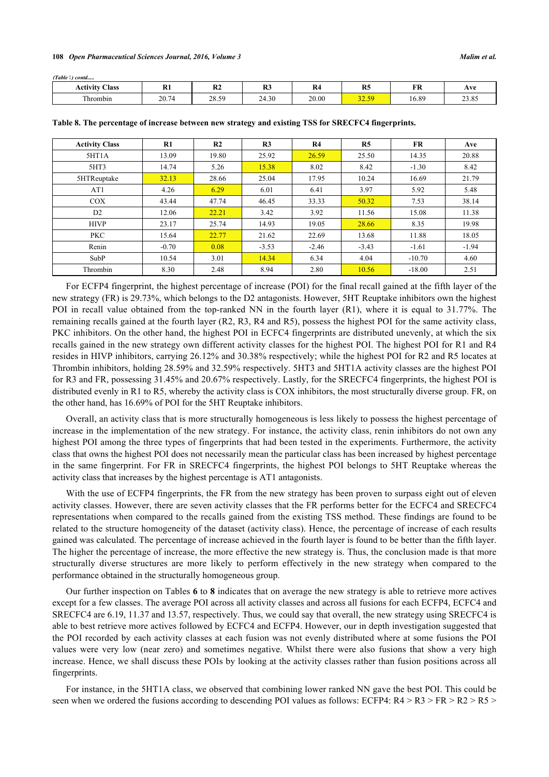*(Table ) contd.....*

| $\sim$<br>Aass<br><b>Activity</b>  | n:<br>-18.1 | $\mathbf{D}'$<br>n. | D.3<br>n. | R <sub>4</sub> | $\sim$<br>м.     | ED<br>гл | Ave           |
|------------------------------------|-------------|---------------------|-----------|----------------|------------------|----------|---------------|
| <b>COLLECT</b><br>hrombin<br>_____ | 20.74<br>74 | 2050<br>28.35       | 24.30     | 20.00          | 22.5<br>ر. . ے ر | 16.89    | 2200<br>29.09 |

| <b>Activity Class</b> | R1      | R <sub>2</sub> | R <sub>3</sub> | R <sub>4</sub> | R <sub>5</sub> | FR       | Ave     |
|-----------------------|---------|----------------|----------------|----------------|----------------|----------|---------|
| 5HT1A                 | 13.09   | 19.80          | 25.92          | 26.59          | 25.50          | 14.35    | 20.88   |
| 5HT3                  | 14.74   | 5.26           | 15.38          | 8.02           | 8.42           | $-1.30$  | 8.42    |
| 5HTReuptake           | 32.13   | 28.66          | 25.04          | 17.95          | 10.24          | 16.69    | 21.79   |
| AT1                   | 4.26    | 6.29           | 6.01           | 6.41           | 3.97           | 5.92     | 5.48    |
| COX                   | 43.44   | 47.74          | 46.45          | 33.33          | 50.32          | 7.53     | 38.14   |
| D2                    | 12.06   | 22.21          | 3.42           | 3.92           | 11.56          | 15.08    | 11.38   |
| <b>HIVP</b>           | 23.17   | 25.74          | 14.93          | 19.05          | 28.66          | 8.35     | 19.98   |
| PKC                   | 15.64   | 22.77          | 21.62          | 22.69          | 13.68          | 11.88    | 18.05   |
| Renin                 | $-0.70$ | 0.08           | $-3.53$        | $-2.46$        | $-3.43$        | $-1.61$  | $-1.94$ |
| SubP                  | 10.54   | 3.01           | 14.34          | 6.34           | 4.04           | $-10.70$ | 4.60    |
| Thrombin              | 8.30    | 2.48           | 8.94           | 2.80           | 10.56          | $-18.00$ | 2.51    |

<span id="page-9-0"></span>**Table 8. The percentage of increase between new strategy and existing TSS for SRECFC4 fingerprints.**

For ECFP4 fingerprint, the highest percentage of increase (POI) for the final recall gained at the fifth layer of the new strategy (FR) is 29.73%, which belongs to the D2 antagonists. However, 5HT Reuptake inhibitors own the highest POI in recall value obtained from the top-ranked NN in the fourth layer (R1), where it is equal to 31.77%. The remaining recalls gained at the fourth layer (R2, R3, R4 and R5), possess the highest POI for the same activity class, PKC inhibitors. On the other hand, the highest POI in ECFC4 fingerprints are distributed unevenly, at which the six recalls gained in the new strategy own different activity classes for the highest POI. The highest POI for R1 and R4 resides in HIVP inhibitors, carrying 26.12% and 30.38% respectively; while the highest POI for R2 and R5 locates at Thrombin inhibitors, holding 28.59% and 32.59% respectively. 5HT3 and 5HT1A activity classes are the highest POI for R3 and FR, possessing 31.45% and 20.67% respectively. Lastly, for the SRECFC4 fingerprints, the highest POI is distributed evenly in R1 to R5, whereby the activity class is COX inhibitors, the most structurally diverse group. FR, on the other hand, has 16.69% of POI for the 5HT Reuptake inhibitors.

Overall, an activity class that is more structurally homogeneous is less likely to possess the highest percentage of increase in the implementation of the new strategy. For instance, the activity class, renin inhibitors do not own any highest POI among the three types of fingerprints that had been tested in the experiments. Furthermore, the activity class that owns the highest POI does not necessarily mean the particular class has been increased by highest percentage in the same fingerprint. For FR in SRECFC4 fingerprints, the highest POI belongs to 5HT Reuptake whereas the activity class that increases by the highest percentage is AT1 antagonists.

With the use of ECFP4 fingerprints, the FR from the new strategy has been proven to surpass eight out of eleven activity classes. However, there are seven activity classes that the FR performs better for the ECFC4 and SRECFC4 representations when compared to the recalls gained from the existing TSS method. These findings are found to be related to the structure homogeneity of the dataset (activity class). Hence, the percentage of increase of each results gained was calculated. The percentage of increase achieved in the fourth layer is found to be better than the fifth layer. The higher the percentage of increase, the more effective the new strategy is. Thus, the conclusion made is that more structurally diverse structures are more likely to perform effectively in the new strategy when compared to the performance obtained in the structurally homogeneous group.

Our further inspection on Tables **[6](#page-8-0)** to **[8](#page-9-0)** indicates that on average the new strategy is able to retrieve more actives except for a few classes. The average POI across all activity classes and across all fusions for each ECFP4, ECFC4 and SRECFC4 are 6.19, 11.37 and 13.57, respectively. Thus, we could say that overall, the new strategy using SRECFC4 is able to best retrieve more actives followed by ECFC4 and ECFP4. However, our in depth investigation suggested that the POI recorded by each activity classes at each fusion was not evenly distributed where at some fusions the POI values were very low (near zero) and sometimes negative. Whilst there were also fusions that show a very high increase. Hence, we shall discuss these POIs by looking at the activity classes rather than fusion positions across all fingerprints.

For instance, in the 5HT1A class, we observed that combining lower ranked NN gave the best POI. This could be seen when we ordered the fusions according to descending POI values as follows: ECFP4:  $R4 > R3 > FR > R2 > R5 >$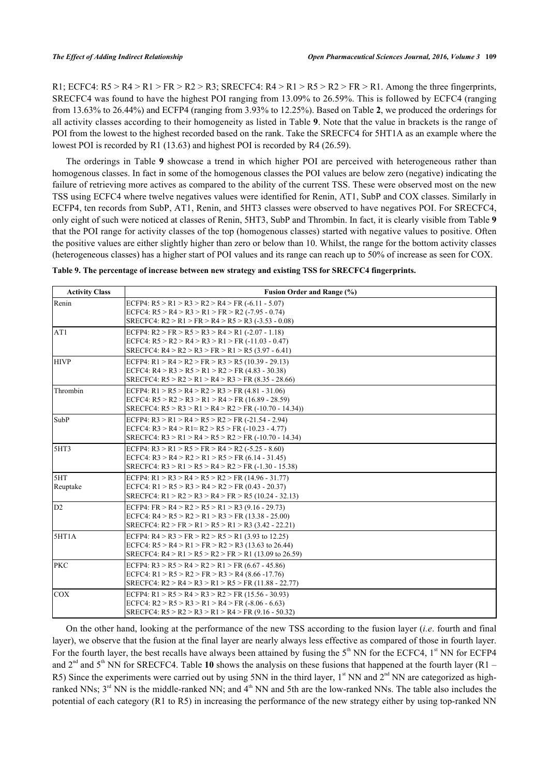R1; ECFC4:  $R5 > R4 > R1 > FR > R2 > R3$ ; SRECFC4:  $R4 > R1 > R5 > R2 > FR > R1$ . Among the three fingerprints, SRECFC4 was found to have the highest POI ranging from 13.09% to 26.59%. This is followed by ECFC4 (ranging from 13.63% to 26.44%) and ECFP4 (ranging from 3.93% to 12.25%). Based on Table **[2](#page-6-0)**, we produced the orderings for all activity classes according to their homogeneity as listed in Table **[9](#page-10-0)**. Note that the value in brackets is the range of POI from the lowest to the highest recorded based on the rank. Take the SRECFC4 for 5HT1A as an example where the lowest POI is recorded by R1 (13.63) and highest POI is recorded by R4 (26.59).

The orderings in Table **[9](#page-10-0)** showcase a trend in which higher POI are perceived with heterogeneous rather than homogenous classes. In fact in some of the homogenous classes the POI values are below zero (negative) indicating the failure of retrieving more actives as compared to the ability of the current TSS. These were observed most on the new TSS using ECFC4 where twelve negatives values were identified for Renin, AT1, SubP and COX classes. Similarly in ECFP4, ten records from SubP, AT1, Renin, and 5HT3 classes were observed to have negatives POI. For SRECFC4, only eight of such were noticed at classes of Renin, 5HT3, SubP and Thrombin. In fact, it is clearly visible from Table **[9](#page-10-0)** that the POI range for activity classes of the top (homogenous classes) started with negative values to positive. Often the positive values are either slightly higher than zero or below than 10. Whilst, the range for the bottom activity classes (heterogeneous classes) has a higher start of POI values and its range can reach up to 50% of increase as seen for COX.

| <b>Activity Class</b> | <b>Fusion Order and Range (%)</b>                                                                                                                                             |
|-----------------------|-------------------------------------------------------------------------------------------------------------------------------------------------------------------------------|
| Renin                 | ECFP4: $R5 > R1 > R3 > R2 > R4 > FR$ (-6.11 - 5.07)<br>$ECFC4$ : R5 > R4 > R3 > R1 > FR > R2 (-7.95 - 0.74)<br>SRECFC4: $R2 > R1 > FR > R4 > R5 > R3$ (-3.53 - 0.08)          |
| AT1                   | ECFP4: $R2 > FR > R5 > R3 > R4 > R1$ (-2.07 - 1.18)<br>ECFC4: $R5 > R2 > R4 > R3 > R1 > FR$ (-11.03 - 0.47)<br>SRECFC4: $R4 > R2 > R3 > FR > R1 > R5 (3.97 - 6.41)$           |
| <b>HIVP</b>           | ECFP4: $R1 > R4 > R2 > FR > R3 > R5 (10.39 - 29.13)$<br>ECFC4: R4 > R3 > R5 > R1 > R2 > FR (4.83 - 30.38)<br>SRECFC4: $R5 > R2 > R1 > R4 > R3 > FR$ (8.35 - 28.66)            |
| Thrombin              | ECFP4: $R1 > R5 > R4 > R2 > R3 > FR$ (4.81 - 31.06)<br>ECFC4: $R5 > R2 > R3 > R1 > R4 > FR$ (16.89 - 28.59)<br>SRECFC4: $R5 > R3 > R1 > R4 > R2 > FR$ (-10.70 - 14.34))       |
| <b>SubP</b>           | ECFP4: $R3 > R1 > R4 > R5 > R2 > FR$ (-21.54 - 2.94)<br>$ECFC4: R3 > R4 > R1 \approx R2 > R5 > FR (-10.23 - 4.77)$<br>SRECFC4: $R3 > R1 > R4 > R5 > R2 > FR$ (-10.70 - 14.34) |
| 5HT3                  | ECFP4: $R3 > R1 > R5 > FR > R4 > R2$ (-5.25 - 8.60)<br>ECFC4: $R3 > R4 > R2 > R1 > R5 > FR$ (6.14 - 31.45)<br>SRECFC4: $R3 > R1 > R5 > R4 > R2 > FR$ (-1.30 - 15.38)          |
| 5HT<br>Reuptake       | ECFP4: $R1 > R3 > R4 > R5 > R2 > FR$ (14.96 - 31.77)<br>ECFC4: R1 > R5 > R3 > R4 > R2 > FR (0.43 - 20.37)<br>SRECFC4: $R1 > R2 > R3 > R4 > FR > R5 (10.24 - 32.13)$           |
| D2                    | ECFP4: FR > R4 > R2 > R5 > R1 > R3 (9.16 - 29.73)<br>ECFC4: $R4 > R5 > R2 > R1 > R3 > FR$ (13.38 - 25.00)<br>SRECFC4: $R2 > FR > R1 > R5 > R1 > R3 (3.42 - 22.21)$            |
| 5HT1A                 | ECFP4: $R4 > R3 > FR > R2 > R5 > R1$ (3.93 to 12.25)<br>ECFC4: $R5 > R4 > R1 > FR > R2 > R3$ (13.63 to 26.44)<br>SRECFC4: $R4 > R1 > R5 > R2 > FR > R1$ (13.09 to 26.59)      |
| <b>PKC</b>            | ECFP4: $R3 > R5 > R4 > R2 > R1 > FR$ (6.67 - 45.86)<br>ECFC4: R1 > R5 > R2 > FR > R3 > R4 (8.66 -17.76)<br>SRECFC4: $R2 > R4 > R3 > R1 > R5 > FR$ (11.88 - 22.77)             |
| <b>COX</b>            | ECFP4: $R1 > R5 > R4 > R3 > R2 > FR$ (15.56 - 30.93)<br>ECFC4: $R2 > R5 > R3 > R1 > R4 > FR$ (-8.06 - 6.63)<br>SRECFC4: $R5 > R2 > R3 > R1 > R4 > FR$ (9.16 - 50.32)          |

<span id="page-10-0"></span>**Table 9. The percentage of increase between new strategy and existing TSS for SRECFC4 fingerprints.**

On the other hand, looking at the performance of the new TSS according to the fusion layer (*i.e*. fourth and final layer), we observe that the fusion at the final layer are nearly always less effective as compared of those in fourth layer. For the fourth layer, the best recalls have always been attained by fusing the  $5<sup>th</sup>$  NN for the ECFC4,  $1<sup>st</sup>$  NN for ECFP4 and  $2<sup>nd</sup>$  and  $5<sup>th</sup>$  NN for SRECFC4. Table [10](#page-11-0) shows the analysis on these fusions that happened at the fourth layer (R1 – R5) Since the experiments were carried out by using 5NN in the third layer,  $1^{\text{st}}$  NN and  $2^{\text{nd}}$  NN are categorized as highranked NNs; 3<sup>rd</sup> NN is the middle-ranked NN; and 4<sup>th</sup> NN and 5th are the low-ranked NNs. The table also includes the potential of each category (R1 to R5) in increasing the performance of the new strategy either by using top-ranked NN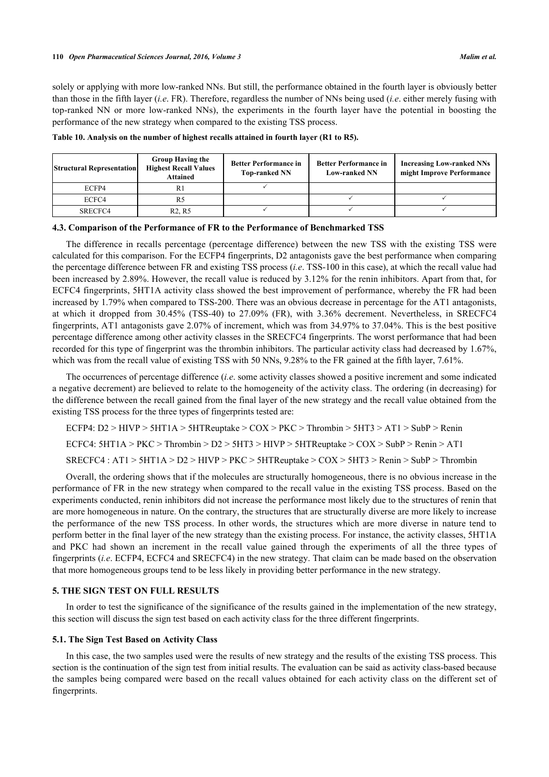solely or applying with more low-ranked NNs. But still, the performance obtained in the fourth layer is obviously better than those in the fifth layer (*i.e*. FR). Therefore, regardless the number of NNs being used (*i.e*. either merely fusing with top-ranked NN or more low-ranked NNs), the experiments in the fourth layer have the potential in boosting the performance of the new strategy when compared to the existing TSS process.

<span id="page-11-0"></span>**Table 10. Analysis on the number of highest recalls attained in fourth layer (R1 to R5).**

| <b>Structural Representation</b> | <b>Group Having the</b><br><b>Highest Recall Values</b><br><b>Attained</b> | <b>Better Performance in</b><br><b>Top-ranked NN</b> | <b>Better Performance in</b><br><b>Low-ranked NN</b> | <b>Increasing Low-ranked NNs</b><br>might Improve Performance |
|----------------------------------|----------------------------------------------------------------------------|------------------------------------------------------|------------------------------------------------------|---------------------------------------------------------------|
| ECFP4                            |                                                                            |                                                      |                                                      |                                                               |
| ECFC4                            |                                                                            |                                                      |                                                      |                                                               |
| SRECFC4                          | R <sub>2</sub> , R <sub>5</sub>                                            |                                                      |                                                      |                                                               |

# **4.3. Comparison of the Performance of FR to the Performance of Benchmarked TSS**

The difference in recalls percentage (percentage difference) between the new TSS with the existing TSS were calculated for this comparison. For the ECFP4 fingerprints, D2 antagonists gave the best performance when comparing the percentage difference between FR and existing TSS process (*i.e*. TSS-100 in this case), at which the recall value had been increased by 2.89%. However, the recall value is reduced by 3.12% for the renin inhibitors. Apart from that, for ECFC4 fingerprints, 5HT1A activity class showed the best improvement of performance, whereby the FR had been increased by 1.79% when compared to TSS-200. There was an obvious decrease in percentage for the AT1 antagonists, at which it dropped from 30.45% (TSS-40) to 27.09% (FR), with 3.36% decrement. Nevertheless, in SRECFC4 fingerprints, AT1 antagonists gave 2.07% of increment, which was from 34.97% to 37.04%. This is the best positive percentage difference among other activity classes in the SRECFC4 fingerprints. The worst performance that had been recorded for this type of fingerprint was the thrombin inhibitors. The particular activity class had decreased by 1.67%, which was from the recall value of existing TSS with 50 NNs, 9.28% to the FR gained at the fifth layer, 7.61%.

The occurrences of percentage difference (*i.e*. some activity classes showed a positive increment and some indicated a negative decrement) are believed to relate to the homogeneity of the activity class. The ordering (in decreasing) for the difference between the recall gained from the final layer of the new strategy and the recall value obtained from the existing TSS process for the three types of fingerprints tested are:

ECFP4:  $D2 > HIVP > 5HT1A > 5HTReuptake > COX > PKC > Thrombin > 5HT3 > AT1 > SubP > Renin$ 

ECFC4:  $5HT1A > PKC > Thrombin > D2 > 5HT3 > HIVP > 5HTReuptake > COX > SubP > Renin > ATI$ 

 $SRECFC4$ :  $AT1 > 5HT1A > D2 > HIVP > PKC > 5HTReuptake > COX > 5HT3 > Renin > SubP > Thrombin$ 

Overall, the ordering shows that if the molecules are structurally homogeneous, there is no obvious increase in the performance of FR in the new strategy when compared to the recall value in the existing TSS process. Based on the experiments conducted, renin inhibitors did not increase the performance most likely due to the structures of renin that are more homogeneous in nature. On the contrary, the structures that are structurally diverse are more likely to increase the performance of the new TSS process. In other words, the structures which are more diverse in nature tend to perform better in the final layer of the new strategy than the existing process. For instance, the activity classes, 5HT1A and PKC had shown an increment in the recall value gained through the experiments of all the three types of fingerprints (*i.e*. ECFP4, ECFC4 and SRECFC4) in the new strategy. That claim can be made based on the observation that more homogeneous groups tend to be less likely in providing better performance in the new strategy.

# **5. THE SIGN TEST ON FULL RESULTS**

In order to test the significance of the significance of the results gained in the implementation of the new strategy, this section will discuss the sign test based on each activity class for the three different fingerprints.

# **5.1. The Sign Test Based on Activity Class**

In this case, the two samples used were the results of new strategy and the results of the existing TSS process. This section is the continuation of the sign test from initial results. The evaluation can be said as activity class-based because the samples being compared were based on the recall values obtained for each activity class on the different set of fingerprints.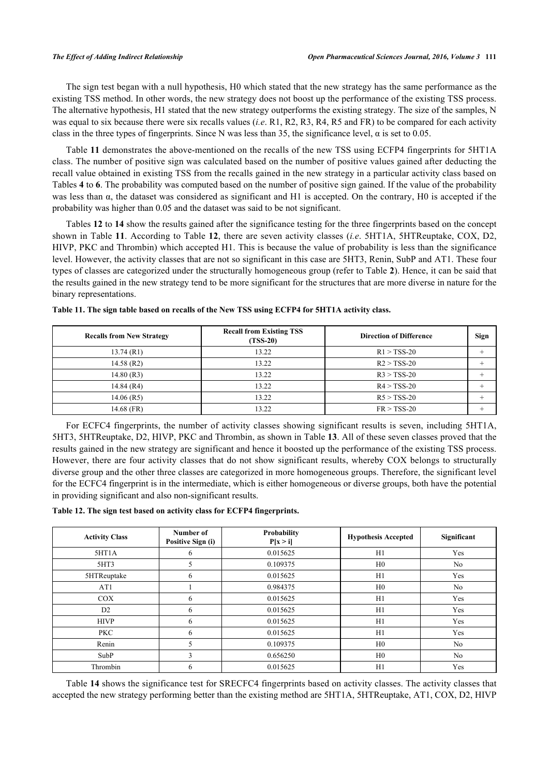The sign test began with a null hypothesis, H0 which stated that the new strategy has the same performance as the existing TSS method. In other words, the new strategy does not boost up the performance of the existing TSS process. The alternative hypothesis, H1 stated that the new strategy outperforms the existing strategy. The size of the samples, N was equal to six because there were six recalls values (*i.e*. R1, R2, R3, R4, R5 and FR) to be compared for each activity class in the three types of fingerprints. Since N was less than 35, the significance level,  $\alpha$  is set to 0.05.

Table **[11](#page-12-0)** demonstrates the above-mentioned on the recalls of the new TSS using ECFP4 fingerprints for 5HT1A class. The number of positive sign was calculated based on the number of positive values gained after deducting the recall value obtained in existing TSS from the recalls gained in the new strategy in a particular activity class based on Tables **[4](#page-7-0)** to **[6](#page-8-0)**. The probability was computed based on the number of positive sign gained. If the value of the probability was less than α, the dataset was considered as significant and H1 is accepted. On the contrary, H0 is accepted if the probability was higher than 0.05 and the dataset was said to be not significant.

Tables **[12](#page-12-1)** to **[14](#page-13-0)** show the results gained after the significance testing for the three fingerprints based on the concept shown in Table **[11](#page-12-0)**. According to Table **[12](#page-12-1)**, there are seven activity classes (*i.e*. 5HT1A, 5HTReuptake, COX, D2, HIVP, PKC and Thrombin) which accepted H1. This is because the value of probability is less than the significance level. However, the activity classes that are not so significant in this case are 5HT3, Renin, SubP and AT1. These four types of classes are categorized under the structurally homogeneous group (refer to Table **[2](#page-6-0)**). Hence, it can be said that the results gained in the new strategy tend to be more significant for the structures that are more diverse in nature for the binary representations.

| <b>Recalls from New Strategy</b> | <b>Recall from Existing TSS</b><br>$(TSS-20)$ | <b>Direction of Difference</b> | <b>Sign</b> |
|----------------------------------|-----------------------------------------------|--------------------------------|-------------|
| 13.74(R1)                        | 13.22                                         | $R1 > TSS-20$                  |             |
| $14.58$ (R2)                     | 13.22                                         | $R2 > TSS-20$                  |             |
| 14.80(R3)                        | 13.22                                         | $R3 > TSS-20$                  |             |
| 14.84(R4)                        | 13.22                                         | $R4 > TSS-20$                  |             |
| $14.06$ (R5)                     | 13.22                                         | $R5 > TSS-20$                  |             |
| $14.68$ (FR)                     | 13.22                                         | $FR > TSS-20$                  |             |

<span id="page-12-0"></span>**Table 11. The sign table based on recalls of the New TSS using ECFP4 for 5HT1A activity class.**

For ECFC4 fingerprints, the number of activity classes showing significant results is seven, including 5HT1A, 5HT3, 5HTReuptake, D2, HIVP, PKC and Thrombin, as shown in Table **[13](#page-13-1)**. All of these seven classes proved that the results gained in the new strategy are significant and hence it boosted up the performance of the existing TSS process. However, there are four activity classes that do not show significant results, whereby COX belongs to structurally diverse group and the other three classes are categorized in more homogeneous groups. Therefore, the significant level for the ECFC4 fingerprint is in the intermediate, which is either homogeneous or diverse groups, both have the potential in providing significant and also non-significant results.

<span id="page-12-1"></span>**Table 12. The sign test based on activity class for ECFP4 fingerprints.**

| <b>Activity Class</b> | Number of<br><b>Positive Sign (i)</b> | Probability<br>P[x > i] | <b>Hypothesis Accepted</b> | Significant    |
|-----------------------|---------------------------------------|-------------------------|----------------------------|----------------|
| 5HT1A                 | <sub>(</sub>                          | 0.015625                | H1                         | Yes            |
| 5HT3                  |                                       | 0.109375                | H <sub>0</sub>             | No             |
| 5HTReuptake           | 6                                     | 0.015625                | H1                         | Yes            |
| AT1                   |                                       | 0.984375                | H <sub>0</sub>             | N <sub>0</sub> |
| COX                   | 6                                     | 0.015625                | H1                         | Yes            |
| D2                    | 6                                     | 0.015625                | H1                         | Yes            |
| <b>HIVP</b>           | 6                                     | 0.015625                | H1                         | Yes            |
| <b>PKC</b>            | 6                                     | 0.015625                | H1                         | Yes            |
| Renin                 | $\overline{\phantom{0}}$              | 0.109375                | H <sub>0</sub>             | N <sub>0</sub> |
| SubP                  | $\mathcal{E}$                         | 0.656250                | H <sub>0</sub>             | No             |
| Thrombin              | 6                                     | 0.015625                | H1                         | Yes            |

Table **[14](#page-13-0)** shows the significance test for SRECFC4 fingerprints based on activity classes. The activity classes that accepted the new strategy performing better than the existing method are 5HT1A, 5HTReuptake, AT1, COX, D2, HIVP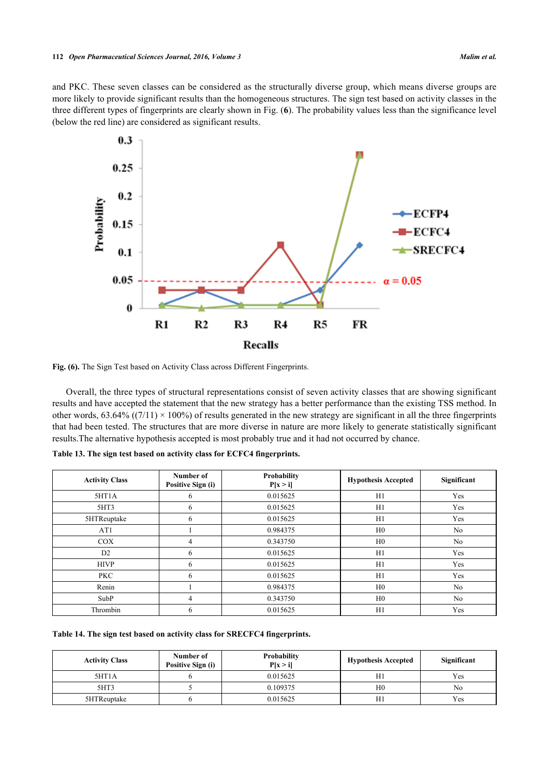<span id="page-13-2"></span>and PKC. These seven classes can be considered as the structurally diverse group, which means diverse groups are more likely to provide significant results than the homogeneous structures. The sign test based on activity classes in the three different types of fingerprints are clearly shown in Fig. (**[6](#page-13-2)**). The probability values less than the significance level (below the red line) are considered as significant results.



**Fig. (6).** The Sign Test based on Activity Class across Different Fingerprints.

Overall, the three types of structural representations consist of seven activity classes that are showing significant results and have accepted the statement that the new strategy has a better performance than the existing TSS method. In other words,  $63.64\%$  ((7/11)  $\times$  100%) of results generated in the new strategy are significant in all the three fingerprints that had been tested. The structures that are more diverse in nature are more likely to generate statistically significant results.The alternative hypothesis accepted is most probably true and it had not occurred by chance.

| <b>Activity Class</b> | Number of<br>Positive Sign (i) | Probability<br>P[x > i] | <b>Hypothesis Accepted</b> | Significant    |
|-----------------------|--------------------------------|-------------------------|----------------------------|----------------|
| 5HT1A                 | 6                              | 0.015625                | H1                         | Yes            |
| 5HT3                  | 6                              | 0.015625                | H1                         | Yes            |
| 5HTReuptake           | 6                              | 0.015625                | H1                         | Yes            |
| AT1                   |                                | 0.984375                | H <sub>0</sub>             | N <sub>0</sub> |
| COX                   | 4                              | 0.343750                | H <sub>0</sub>             | No             |
| D2                    | 6                              | 0.015625                | H1                         | Yes            |
| <b>HIVP</b>           | 6                              | 0.015625                | H1                         | Yes            |
| <b>PKC</b>            | 6                              | 0.015625                | H1                         | Yes            |
| Renin                 |                                | 0.984375                | H <sub>0</sub>             | No             |
| <b>SubP</b>           | 4                              | 0.343750                | H <sub>0</sub>             | N <sub>0</sub> |
| Thrombin              | 6                              | 0.015625                | H1                         | Yes            |

<span id="page-13-1"></span>**Table 13. The sign test based on activity class for ECFC4 fingerprints.**

<span id="page-13-0"></span>**Table 14. The sign test based on activity class for SRECFC4 fingerprints.**

| <b>Activity Class</b> | Number of<br>Positive Sign (i) | Probability<br>P[x > i] | <b>Hypothesis Accepted</b> | Significant    |
|-----------------------|--------------------------------|-------------------------|----------------------------|----------------|
| 5HT1A                 |                                | 0.015625                | H1                         | Yes            |
| 5HT3                  |                                | 0.109375                | H0                         | N <sub>0</sub> |
| 5HTReuptake           |                                | 0.015625                | H1                         | Yes            |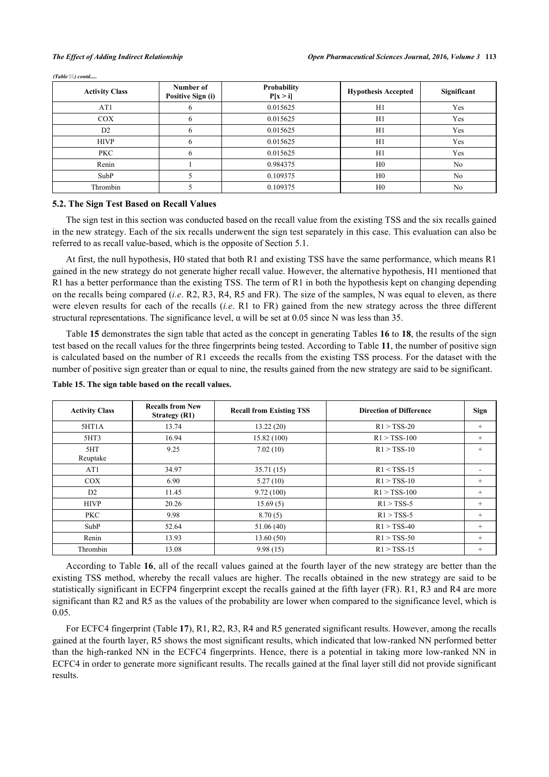| (Table 36) contd |  |
|------------------|--|
|------------------|--|

| <b>Activity Class</b> | Number of<br>Positive Sign (i) | Probability<br>P[x > i] | <b>Hypothesis Accepted</b> | Significant    |
|-----------------------|--------------------------------|-------------------------|----------------------------|----------------|
| AT1                   |                                | 0.015625                | H1                         | Yes            |
| <b>COX</b>            |                                | 0.015625                | H1                         | Yes            |
| D2                    |                                | 0.015625                | H1                         | Yes            |
| <b>HIVP</b>           |                                | 0.015625                | H1                         | Yes            |
| <b>PKC</b>            |                                | 0.015625                | H1                         | Yes            |
| Renin                 |                                | 0.984375                | H <sub>0</sub>             | N <sub>0</sub> |
| SubP                  |                                | 0.109375                | H <sub>0</sub>             | No             |
| Thrombin              |                                | 0.109375                | H <sub>0</sub>             | No             |

#### **5.2. The Sign Test Based on Recall Values**

The sign test in this section was conducted based on the recall value from the existing TSS and the six recalls gained in the new strategy. Each of the six recalls underwent the sign test separately in this case. This evaluation can also be referred to as recall value-based, which is the opposite of Section 5.1.

At first, the null hypothesis, H0 stated that both R1 and existing TSS have the same performance, which means R1 gained in the new strategy do not generate higher recall value. However, the alternative hypothesis, H1 mentioned that R1 has a better performance than the existing TSS. The term of R1 in both the hypothesis kept on changing depending on the recalls being compared (*i.e*. R2, R3, R4, R5 and FR). The size of the samples, N was equal to eleven, as there were eleven results for each of the recalls (*i.e*. R1 to FR) gained from the new strategy across the three different structural representations. The significance level,  $\alpha$  will be set at 0.05 since N was less than 35.

Table **[15](#page-14-0)** demonstrates the sign table that acted as the concept in generating Tables **[16](#page-15-0)** to **[18](#page-15-1)**, the results of the sign test based on the recall values for the three fingerprints being tested. According to Table **[11](#page-12-0)**, the number of positive sign is calculated based on the number of R1 exceeds the recalls from the existing TSS process. For the dataset with the number of positive sign greater than or equal to nine, the results gained from the new strategy are said to be significant.

| <b>Activity Class</b> | <b>Recalls from New</b><br><b>Strategy</b> (R1) | <b>Recall from Existing TSS</b> | <b>Direction of Difference</b> | Sign   |
|-----------------------|-------------------------------------------------|---------------------------------|--------------------------------|--------|
| 5HT1A                 | 13.74                                           | 13.22(20)                       | $R1 > TSS-20$                  | $^{+}$ |
| 5HT3                  | 16.94                                           | 15.82(100)                      | $R1 > TSS-100$                 | $^{+}$ |
| 5HT<br>Reuptake       | 9.25                                            | 7.02(10)                        | $R1 > TSS-10$                  |        |
| AT1                   | 34.97                                           | 35.71(15)                       | $R1 < TSS-15$                  |        |
| COX                   | 6.90                                            | 5.27(10)                        | $R1 > TSS-10$                  | $^{+}$ |
| D2                    | 11.45                                           | 9.72(100)                       | $R1 > TSS-100$                 | $^{+}$ |
| <b>HIVP</b>           | 20.26                                           | 15.69(5)                        | $R1 > TSS-5$                   | $^{+}$ |
| <b>PKC</b>            | 9.98                                            | 8.70(5)                         | $R1 > TSS-5$                   | $^{+}$ |
| SubP                  | 52.64                                           | 51.06(40)                       | $R1 > TSS-40$                  | $^{+}$ |
| Renin                 | 13.93                                           | 13.60(50)                       | $R1 > TSS-50$                  | $^{+}$ |
| Thrombin              | 13.08                                           | 9.98(15)                        | $R1 > TSS-15$                  |        |

<span id="page-14-0"></span>**Table 15. The sign table based on the recall values.**

According to Table **[16](#page-15-0)**, all of the recall values gained at the fourth layer of the new strategy are better than the existing TSS method, whereby the recall values are higher. The recalls obtained in the new strategy are said to be statistically significant in ECFP4 fingerprint except the recalls gained at the fifth layer (FR). R1, R3 and R4 are more significant than R2 and R5 as the values of the probability are lower when compared to the significance level, which is 0.05.

<span id="page-14-1"></span>For ECFC4 fingerprint (Table **[17](#page-15-2)**), R1, R2, R3, R4 and R5 generated significant results. However, among the recalls gained at the fourth layer, R5 shows the most significant results, which indicated that low-ranked NN performed better than the high-ranked NN in the ECFC4 fingerprints. Hence, there is a potential in taking more low-ranked NN in ECFC4 in order to generate more significant results. The recalls gained at the final layer still did not provide significant results.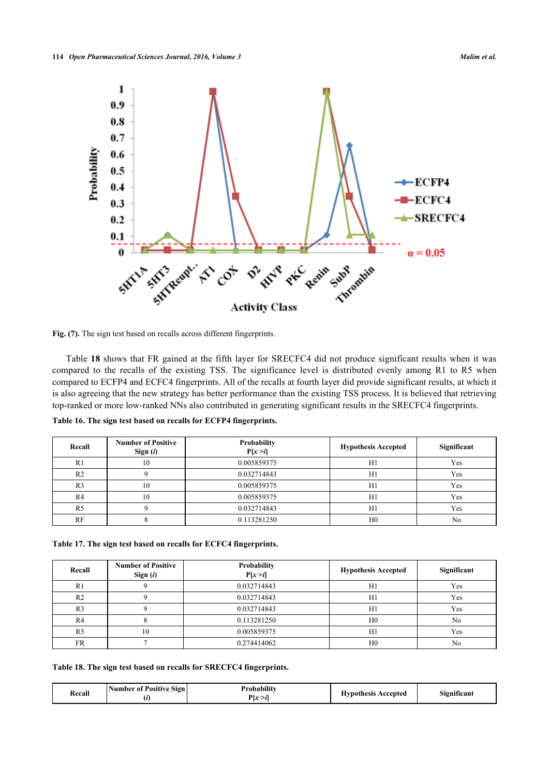



Table **[18](#page-15-1)** shows that FR gained at the fifth layer for SRECFC4 did not produce significant results when it was compared to the recalls of the existing TSS. The significance level is distributed evenly among R1 to R5 when compared to ECFP4 and ECFC4 fingerprints. All of the recalls at fourth layer did provide significant results, at which it is also agreeing that the new strategy has better performance than the existing TSS process. It is believed that retrieving top-ranked or more low-ranked NNs also contributed in generating significant results in the SRECFC4 fingerprints.

| Recall         | <b>Number of Positive</b><br>Sign $(i)$ | Probability<br>P[x > i] | <b>Hypothesis Accepted</b> | Significant |
|----------------|-----------------------------------------|-------------------------|----------------------------|-------------|
| R1             | 10                                      | 0.005859375             | H1                         | Yes         |
| R <sub>2</sub> |                                         | 0.032714843             | H1                         | Yes         |
| R <sub>3</sub> | 10                                      | 0.005859375             | H1                         | Yes         |
| R4             | l O                                     | 0.005859375             | H1                         | Yes         |
| R5             |                                         | 0.032714843             | H1                         | Yes         |
| RF             |                                         | 0.113281250             | H <sub>0</sub>             | No          |

<span id="page-15-0"></span>**Table 16. The sign test based on recalls for ECFP4 fingerprints.**

<span id="page-15-2"></span>**Table 17. The sign test based on recalls for ECFC4 fingerprints.**

| Recall         | <b>Number of Positive</b><br>Sign $(i)$ | Probability<br>P[x > i] | <b>Hypothesis Accepted</b> | Significant |
|----------------|-----------------------------------------|-------------------------|----------------------------|-------------|
| R <sub>1</sub> |                                         | 0.032714843             | H1                         | Yes         |
| R <sub>2</sub> |                                         | 0.032714843             | H1                         | Yes         |
| R <sub>3</sub> |                                         | 0.032714843             | H1                         | Yes         |
| R <sub>4</sub> |                                         | 0.113281250             | H <sub>0</sub>             | No          |
| R <sub>5</sub> | 10                                      | 0.005859375             | H1                         | Yes         |
| <b>FR</b>      |                                         | 0.274414062             | H <sub>0</sub>             | No          |

<span id="page-15-1"></span>**Table 18. The sign test based on recalls for SRECFC4 fingerprints.**

| Recall | $\sim$<br>Number of Positive Sign | .<br>Probability<br>P[x] | <b>Hypothesis Accepted</b> | $\sim$<br>Significant |
|--------|-----------------------------------|--------------------------|----------------------------|-----------------------|
|--------|-----------------------------------|--------------------------|----------------------------|-----------------------|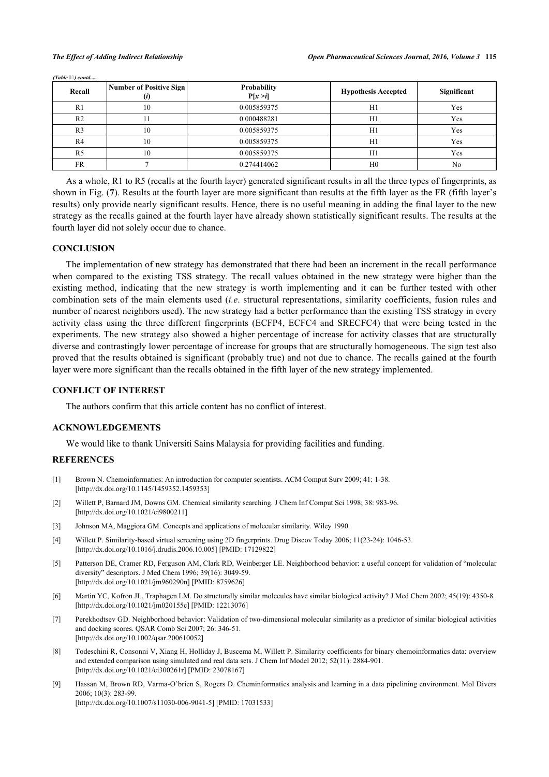| Recall         | Number of Positive Sign<br>ι, | <b>Probability</b><br>P[x > i] | <b>Hypothesis Accepted</b> | Significant    |
|----------------|-------------------------------|--------------------------------|----------------------------|----------------|
| R1             | 10                            | 0.005859375                    | H1                         | Yes            |
| R <sub>2</sub> |                               | 0.000488281                    | H1                         | Yes            |
| R <sub>3</sub> | 10                            | 0.005859375                    | H1                         | Yes            |
| R4             | 10                            | 0.005859375                    | H1                         | Yes            |
| R <sub>5</sub> | 10                            | 0.005859375                    | H1                         | Yes            |
| <b>FR</b>      |                               | 0.274414062                    | H <sub>0</sub>             | N <sub>0</sub> |

As a whole, R1 to R5 (recalls at the fourth layer) generated significant results in all the three types of fingerprints, as shown in Fig. (**[7](#page-14-1)**). Results at the fourth layer are more significant than results at the fifth layer as the FR (fifth layer's results) only provide nearly significant results. Hence, there is no useful meaning in adding the final layer to the new strategy as the recalls gained at the fourth layer have already shown statistically significant results. The results at the fourth layer did not solely occur due to chance.

# **CONCLUSION**

*(Table ) contd.....*

The implementation of new strategy has demonstrated that there had been an increment in the recall performance when compared to the existing TSS strategy. The recall values obtained in the new strategy were higher than the existing method, indicating that the new strategy is worth implementing and it can be further tested with other combination sets of the main elements used (*i.e*. structural representations, similarity coefficients, fusion rules and number of nearest neighbors used). The new strategy had a better performance than the existing TSS strategy in every activity class using the three different fingerprints (ECFP4, ECFC4 and SRECFC4) that were being tested in the experiments. The new strategy also showed a higher percentage of increase for activity classes that are structurally diverse and contrastingly lower percentage of increase for groups that are structurally homogeneous. The sign test also proved that the results obtained is significant (probably true) and not due to chance. The recalls gained at the fourth layer were more significant than the recalls obtained in the fifth layer of the new strategy implemented.

# **CONFLICT OF INTEREST**

The authors confirm that this article content has no conflict of interest.

## **ACKNOWLEDGEMENTS**

We would like to thank Universiti Sains Malaysia for providing facilities and funding.

# **REFERENCES**

- <span id="page-16-0"></span>[1] Brown N. Chemoinformatics: An introduction for computer scientists. ACM Comput Surv 2009; 41: 1-38. [\[http://dx.doi.org/10.1145/1459352.1459353\]](http://dx.doi.org/10.1145/1459352.1459353)
- <span id="page-16-1"></span>[2] Willett P, Barnard JM, Downs GM. Chemical similarity searching. J Chem Inf Comput Sci 1998; 38: 983-96. [\[http://dx.doi.org/10.1021/ci9800211\]](http://dx.doi.org/10.1021/ci9800211)
- <span id="page-16-2"></span>[3] Johnson MA, Maggiora GM. Concepts and applications of molecular similarity. Wiley 1990.
- <span id="page-16-3"></span>[4] Willett P. Similarity-based virtual screening using 2D fingerprints. Drug Discov Today 2006; 11(23-24): 1046-53. [\[http://dx.doi.org/10.1016/j.drudis.2006.10.005](http://dx.doi.org/10.1016/j.drudis.2006.10.005)] [PMID: [17129822\]](http://www.ncbi.nlm.nih.gov/pubmed/17129822)
- <span id="page-16-4"></span>[5] Patterson DE, Cramer RD, Ferguson AM, Clark RD, Weinberger LE. Neighborhood behavior: a useful concept for validation of "molecular diversity" descriptors. J Med Chem 1996; 39(16): 3049-59. [\[http://dx.doi.org/10.1021/jm960290n](http://dx.doi.org/10.1021/jm960290n)] [PMID: [8759626\]](http://www.ncbi.nlm.nih.gov/pubmed/8759626)
- <span id="page-16-5"></span>[6] Martin YC, Kofron JL, Traphagen LM. Do structurally similar molecules have similar biological activity? J Med Chem 2002; 45(19): 4350-8. [\[http://dx.doi.org/10.1021/jm020155c\]](http://dx.doi.org/10.1021/jm020155c) [PMID: [12213076](http://www.ncbi.nlm.nih.gov/pubmed/12213076)]
- <span id="page-16-6"></span>[7] Perekhodtsev GD. Neighborhood behavior: Validation of two-dimensional molecular similarity as a predictor of similar biological activities and docking scores. QSAR Comb Sci 2007; 26: 346-51. [\[http://dx.doi.org/10.1002/qsar.200610052](http://dx.doi.org/10.1002/qsar.200610052)]
- <span id="page-16-7"></span>[8] Todeschini R, Consonni V, Xiang H, Holliday J, Buscema M, Willett P. Similarity coefficients for binary chemoinformatics data: overview and extended comparison using simulated and real data sets. J Chem Inf Model 2012; 52(11): 2884-901. [\[http://dx.doi.org/10.1021/ci300261r](http://dx.doi.org/10.1021/ci300261r)] [PMID: [23078167\]](http://www.ncbi.nlm.nih.gov/pubmed/23078167)
- <span id="page-16-8"></span>[9] Hassan M, Brown RD, Varma-O'brien S, Rogers D. Cheminformatics analysis and learning in a data pipelining environment. Mol Divers 2006; 10(3): 283-99. [\[http://dx.doi.org/10.1007/s11030-006-9041-5\]](http://dx.doi.org/10.1007/s11030-006-9041-5) [PMID: [17031533](http://www.ncbi.nlm.nih.gov/pubmed/17031533)]